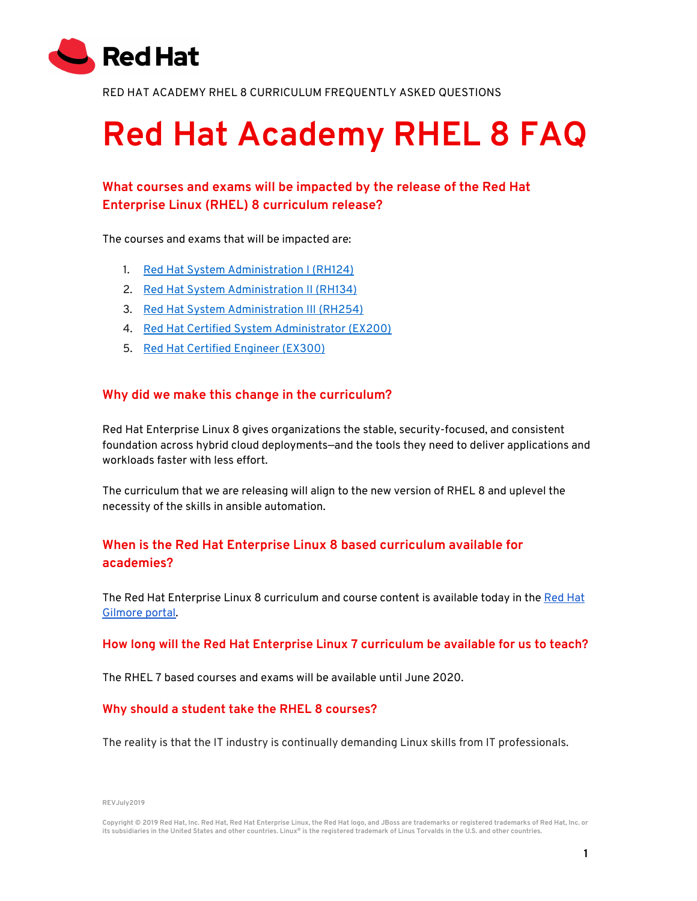

RED HAT ACADEMY RHEL 8 CURRICULUM FREQUENTLY ASKED QUESTIONS

# **Red Hat Academy RHEL 8 FAQ**

## **What courses and exams will be impacted by the release of the Red Hat Enterprise Linux (RHEL) 8 curriculum release?**

The courses and exams that will be impacted are:

- 1. Red Hat System [Administration](https://www.redhat.com/en/services/training/rh124-red-hat-system-administration-i) I (RH124)
- 2. Red Hat System [Administration](https://www.redhat.com/en/services/training/rh134-red-hat-system-administration-ii) II (RH134)
- 3. Red Hat System [Administration](https://www.redhat.com/en/services/training/rh254-red-hat-system-administration-iii-data-center-services-red-hat-enterprise-linux-7) III (RH254)
- 4. Red Hat Certified System [Administrator](https://www.redhat.com/en/services/training/ex200-red-hat-certified-system-administrator-rhcsa-exam) (EX200)
- 5. Red Hat Certified [Engineer](https://www.redhat.com/en/services/training/ex300-red-hat-certified-engineer-rhce-exam-red-hat-enterprise-linux-7) (EX300)

#### **Why did we make this change in the curriculum?**

Red Hat Enterprise Linux 8 gives organizations the stable, security-focused, and consistent foundation across hybrid cloud deployments—and the tools they need to deliver applications and workloads faster with less effort.

The curriculum that we are releasing will align to the new version of RHEL 8 and uplevel the necessity of the skills in ansible automation.

## **When is the Red Hat Enterprise Linux 8 based curriculum available for academies?**

The Red Hat Enterprise Linux 8 curriculum and course content is available today in the [Red](https://gilmore.ca/RedHat/default.aspx) Hat [Gilmore](https://gilmore.ca/RedHat/default.aspx) portal.

#### **How long will the Red Hat Enterprise Linux 7 curriculum be available for us to teach?**

The RHEL 7 based courses and exams will be available until June 2020.

#### **Why should a student take the RHEL 8 courses?**

The reality is that the IT industry is continually demanding Linux skills from IT professionals.

**REVJuly2019**

Copyright © 2019 Red Hat, Inc. Red Hat, Red Hat Enterprise Linux, the Red Hat logo, and JBoss are trademarks or registered trademarks of Red Hat, Inc. or its subsidiaries in the United States and other countries. Linux® is the registered trademark of Linus Torvalds in the U.S. and other countries.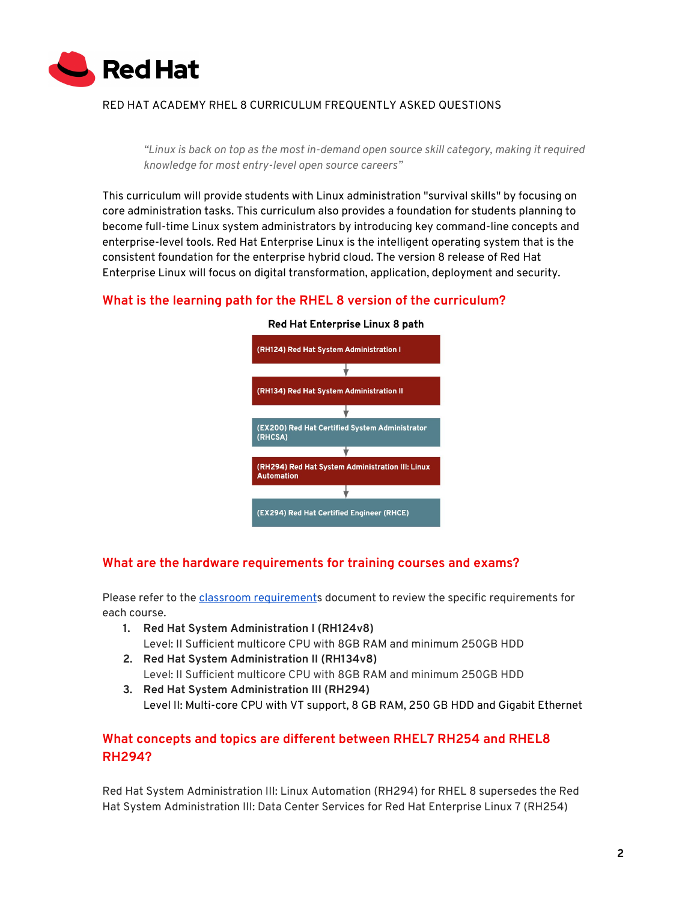

#### RED HAT ACADEMY RHEL 8 CURRICULUM FREQUENTLY ASKED QUESTIONS

*"Linux is back on top as the most in-demand open source skill category, making it required knowledge for most entry-level open source careers"*

This curriculum will provide students with Linux administration "survival skills" by focusing on core administration tasks. This curriculum also provides a foundation for students planning to become full-time Linux system administrators by introducing key command-line concepts and enterprise-level tools. Red Hat Enterprise Linux is the intelligent operating system that is the consistent foundation for the enterprise hybrid cloud. The version 8 release of Red Hat Enterprise Linux will focus on digital transformation, application, deployment and security.

#### **What is the learning path for the RHEL 8 version of the curriculum?**



#### Red Hat Enterprise Linux 8 path

#### **What are the hardware requirements for training courses and exams?**

Please refer to the classroom [requirement](https://www.redhat.com/cms/managed-files/tr-hardware-requirements-testing-policy-doc-f13661-201811-en_0.pdf)s document to review the specific requirements for each course.

- **1. Red Hat System Administration I (RH124v8)** Level: II Sufficient multicore CPU with 8GB RAM and minimum 250GB HDD
- **2. Red Hat System Administration II (RH134v8)** Level: II Sufficient multicore CPU with 8GB RAM and minimum 250GB HDD
- **3. Red Hat System Administration III (RH294)** Level II: Multi-core CPU with VT support, 8 GB RAM, 250 GB HDD and Gigabit Ethernet

## **What concepts and topics are different between RHEL7 RH254 and RHEL8 RH294?**

Red Hat System Administration III: Linux Automation (RH294) for RHEL 8 supersedes the Red Hat System Administration III: Data Center Services for Red Hat Enterprise Linux 7 (RH254)